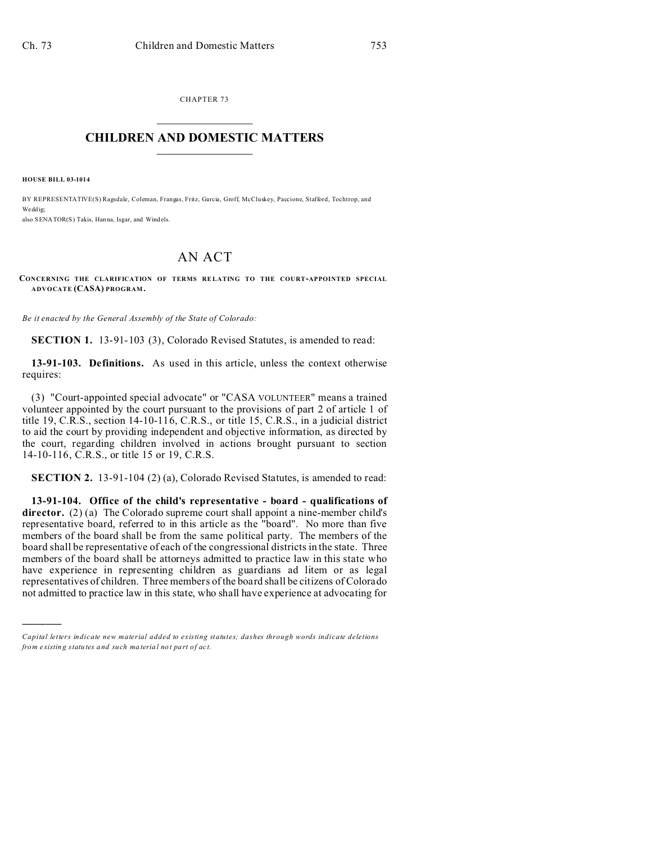CHAPTER 73  $\overline{\phantom{a}}$  , where  $\overline{\phantom{a}}$ 

## **CHILDREN AND DOMESTIC MATTERS**  $\_$

**HOUSE BILL 03-1014**

)))))

BY REPRESENTATIVE(S) Ragsdale, Coleman, Frangas, Fritz, Garcia, Groff, McCluskey, Paccione, Stafford, Tochtrop, and We dd ig; also SENATOR(S) Takis, Hanna, Isgar, and Windels.

## AN ACT

**CONCERNING THE CLARIFICATION OF TERMS RELATING TO THE COURT-APPOINTED SPECIAL ADVOCATE (CASA) PROGRAM .**

*Be it enacted by the General Assembly of the State of Colorado:*

**SECTION 1.** 13-91-103 (3), Colorado Revised Statutes, is amended to read:

**13-91-103. Definitions.** As used in this article, unless the context otherwise requires:

(3) "Court-appointed special advocate" or "CASA VOLUNTEER" means a trained volunteer appointed by the court pursuant to the provisions of part 2 of article 1 of title 19, C.R.S., section 14-10-116, C.R.S., or title 15, C.R.S., in a judicial district to aid the court by providing independent and objective information, as directed by the court, regarding children involved in actions brought pursuant to section 14-10-116, C.R.S., or title 15 or 19, C.R.S.

**SECTION 2.** 13-91-104 (2) (a), Colorado Revised Statutes, is amended to read:

**13-91-104. Office of the child's representative - board - qualifications of director.** (2) (a) The Colorado supreme court shall appoint a nine-member child's representative board, referred to in this article as the "board". No more than five members of the board shall be from the same political party. The members of the board shall be representative of each of the congressional districts in the state. Three members of the board shall be attorneys admitted to practice law in this state who have experience in representing children as guardians ad litem or as legal representatives of children. Three members of the board shall be citizens of Colorado not admitted to practice law in this state, who shall have experience at advocating for

*Capital letters indicate new material added to existing statutes; dashes through words indicate deletions from e xistin g statu tes a nd such ma teria l no t pa rt of ac t.*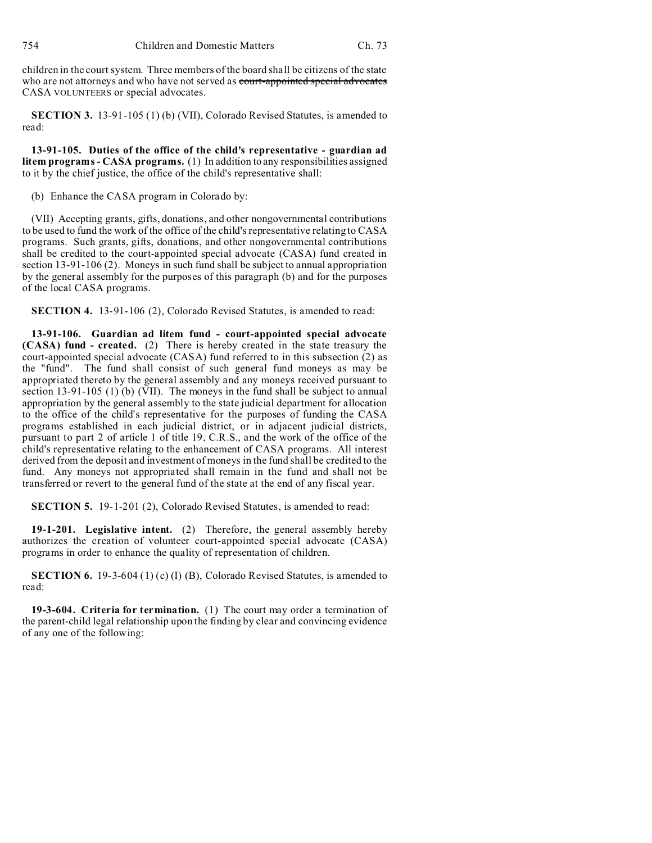children in the court system. Three members of the board shall be citizens of the state who are not attorneys and who have not served as court-appointed special advocates CASA VOLUNTEERS or special advocates.

**SECTION 3.** 13-91-105 (1) (b) (VII), Colorado Revised Statutes, is amended to read:

**13-91-105. Duties of the office of the child's representative - guardian ad litem programs - CASA programs.** (1) In addition to any responsibilities assigned to it by the chief justice, the office of the child's representative shall:

(b) Enhance the CASA program in Colorado by:

(VII) Accepting grants, gifts, donations, and other nongovernmental contributions to be used to fund the work of the office of the child's representative relating to CASA programs. Such grants, gifts, donations, and other nongovernmental contributions shall be credited to the court-appointed special advocate (CASA) fund created in section 13-91-106 (2). Moneys in such fund shall be subject to annual appropriation by the general assembly for the purposes of this paragraph (b) and for the purposes of the local CASA programs.

**SECTION 4.** 13-91-106 (2), Colorado Revised Statutes, is amended to read:

**13-91-106. Guardian ad litem fund - court-appointed special advocate (CASA) fund - created.** (2) There is hereby created in the state treasury the court-appointed special advocate (CASA) fund referred to in this subsection (2) as the "fund". The fund shall consist of such general fund moneys as may be appropriated thereto by the general assembly and any moneys received pursuant to section 13-91-105 (1) (b) (VII). The moneys in the fund shall be subject to annual appropriation by the general assembly to the state judicial department for allocation to the office of the child's representative for the purposes of funding the CASA programs established in each judicial district, or in adjacent judicial districts, pursuant to part 2 of article 1 of title 19, C.R.S., and the work of the office of the child's representative relating to the enhancement of CASA programs. All interest derived from the deposit and investment of moneys in the fund shall be credited to the fund. Any moneys not appropriated shall remain in the fund and shall not be transferred or revert to the general fund of the state at the end of any fiscal year.

**SECTION 5.** 19-1-201 (2), Colorado Revised Statutes, is amended to read:

**19-1-201. Legislative intent.** (2) Therefore, the general assembly hereby authorizes the creation of volunteer court-appointed special advocate (CASA) programs in order to enhance the quality of representation of children.

**SECTION 6.** 19-3-604 (1) (c) (I) (B), Colorado Revised Statutes, is amended to read:

**19-3-604. Criteria for termination.** (1) The court may order a termination of the parent-child legal relationship upon the finding by clear and convincing evidence of any one of the following: